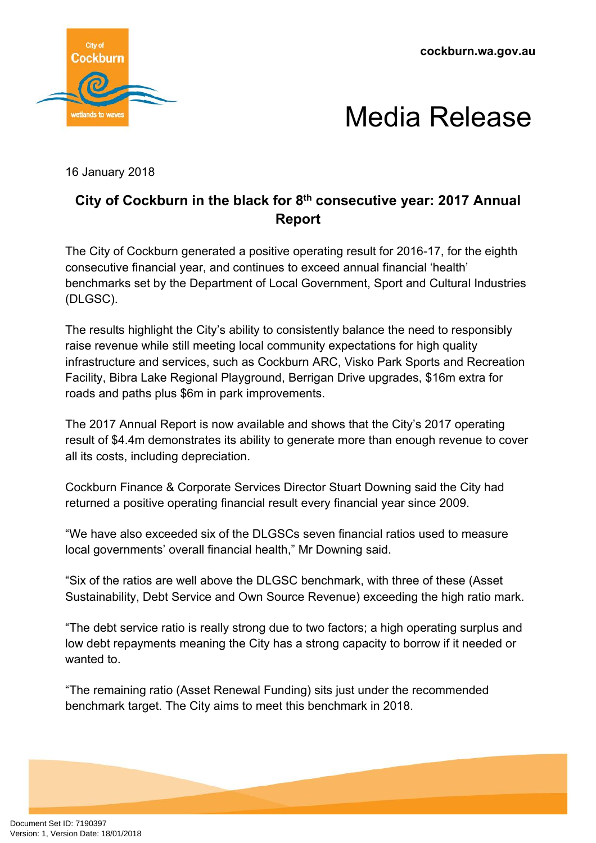**cockburn.wa.gov.au**





16 January 2018

## **City of Cockburn in the black for 8 th consecutive year: 2017 Annual Report**

The City of Cockburn generated a positive operating result for 2016-17, for the eighth consecutive financial year, and continues to exceed annual financial 'health' benchmarks set by the Department of Local Government, Sport and Cultural Industries (DLGSC).

The results highlight the City's ability to consistently balance the need to responsibly raise revenue while still meeting local community expectations for high quality infrastructure and services, such as Cockburn ARC, Visko Park Sports and Recreation Facility, Bibra Lake Regional Playground, Berrigan Drive upgrades, \$16m extra for roads and paths plus \$6m in park improvements.

The 2017 Annual Report is now available and shows that the City's 2017 operating result of \$4.4m demonstrates its ability to generate more than enough revenue to cover all its costs, including depreciation.

Cockburn Finance & Corporate Services Director Stuart Downing said the City had returned a positive operating financial result every financial year since 2009.

"We have also exceeded six of the DLGSCs seven financial ratios used to measure local governments' overall financial health," Mr Downing said.

"Six of the ratios are well above the DLGSC benchmark, with three of these (Asset Sustainability, Debt Service and Own Source Revenue) exceeding the high ratio mark.

"The debt service ratio is really strong due to two factors; a high operating surplus and low debt repayments meaning the City has a strong capacity to borrow if it needed or wanted to.

"The remaining ratio (Asset Renewal Funding) sits just under the recommended benchmark target. The City aims to meet this benchmark in 2018.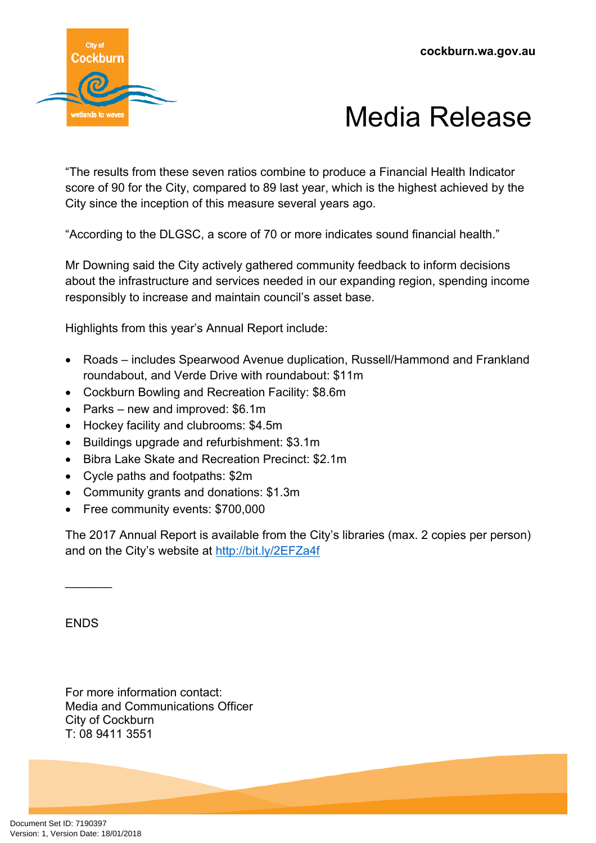



"The results from these seven ratios combine to produce a Financial Health Indicator score of 90 for the City, compared to 89 last year, which is the highest achieved by the City since the inception of this measure several years ago.

"According to the DLGSC, a score of 70 or more indicates sound financial health."

Mr Downing said the City actively gathered community feedback to inform decisions about the infrastructure and services needed in our expanding region, spending income responsibly to increase and maintain council's asset base.

Highlights from this year's Annual Report include:

- Roads includes Spearwood Avenue duplication, Russell/Hammond and Frankland roundabout, and Verde Drive with roundabout: \$11m
- Cockburn Bowling and Recreation Facility: \$8.6m
- Parks new and improved: \$6.1m
- Hockey facility and clubrooms: \$4.5m
- Buildings upgrade and refurbishment: \$3.1m
- Bibra Lake Skate and Recreation Precinct: \$2.1m
- Cycle paths and footpaths: \$2m
- Community grants and donations: \$1.3m
- Free community events: \$700,000

The 2017 Annual Report is available from the City's libraries (max. 2 copies per person) and on the City's website at <http://bit.ly/2EFZa4f>

**FNDS** 

 $\overline{\phantom{a}}$ 

For more information contact: Media and Communications Officer City of Cockburn T: 08 9411 3551